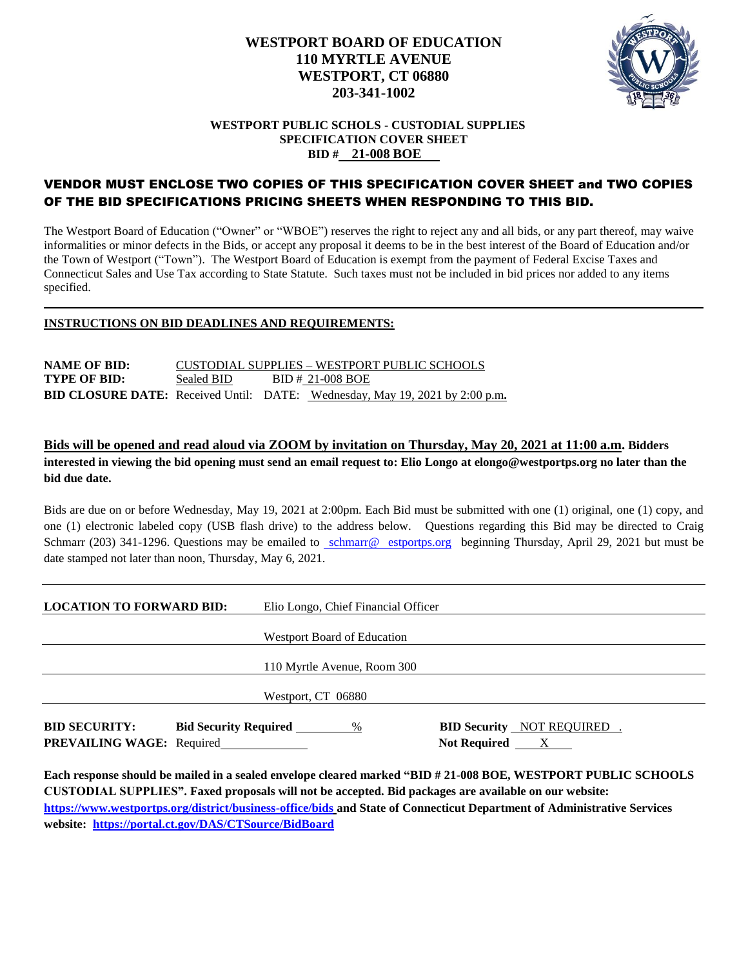

## **WESTPORT PUBLIC SCHOLS - CUSTODIAL SUPPLIES SPECIFICATION COVER SHEET BID # 21-008 BOE**

## VENDOR MUST ENCLOSE TWO COPIES OF THIS SPECIFICATION COVER SHEET and TWO COPIES OF THE BID SPECIFICATIONS PRICING SHEETS WHEN RESPONDING TO THIS BID.

The Westport Board of Education ("Owner" or "WBOE") reserves the right to reject any and all bids, or any part thereof, may waive informalities or minor defects in the Bids, or accept any proposal it deems to be in the best interest of the Board of Education and/or the Town of Westport ("Town"). The Westport Board of Education is exempt from the payment of Federal Excise Taxes and Connecticut Sales and Use Tax according to State Statute. Such taxes must not be included in bid prices nor added to any items specified.

## **INSTRUCTIONS ON BID DEADLINES AND REQUIREMENTS:**

**NAME OF BID:** CUSTODIAL SUPPLIES – WESTPORT PUBLIC SCHOOLS **TYPE OF BID:** Sealed BID BID # 21-008 BOE **BID CLOSURE DATE:** Received Until: DATE: Wednesday, May 19, 2021 by 2:00 p.m**.** 

## **Bids will be opened and read aloud via ZOOM by invitation on Thursday, May 20, 2021 at 11:00 a.m. Bidders interested in viewing the bid opening must send an email request to: Elio Longo at elongo@westportps.org no later than the bid due date.**

Bids are due on or before Wednesday, May 19, 2021 at 2:00pm. Each Bid must be submitted with one (1) original, one (1) copy, and one (1) electronic labeled copy (USB flash drive) to the address below. Questions regarding this Bid may be directed to Craig Schmarr (203) 341-1296. Questions may be emailed to cschmarr@w[estportps.org](mailto:Cschmarr@Westportps.org) beginning Thursday, April 29, 2021 but must be date stamped not later than noon, Thursday, May 6, 2021.

| <b>LOCATION TO FORWARD BID:</b>                          |                                | Elio Longo, Chief Financial Officer |                                                                  |
|----------------------------------------------------------|--------------------------------|-------------------------------------|------------------------------------------------------------------|
|                                                          |                                | <b>Westport Board of Education</b>  |                                                                  |
|                                                          |                                | 110 Myrtle Avenue, Room 300         |                                                                  |
|                                                          |                                | Westport, CT 06880                  |                                                                  |
| <b>BID SECURITY:</b><br><b>PREVAILING WAGE:</b> Required | <b>Bid Security Required</b> % |                                     | <b>BID Security</b> NOT REQUIRED.<br>Not Required $\overline{X}$ |

**Each response should be mailed in a sealed envelope cleared marked "BID # 21-008 BOE, WESTPORT PUBLIC SCHOOLS CUSTODIAL SUPPLIES". Faxed proposals will not be accepted. Bid packages are available on our website: <https://www.westportps.org/district/business-office/bids> and State of Connecticut Department of Administrative Services website: <https://portal.ct.gov/DAS/CTSource/BidBoard>**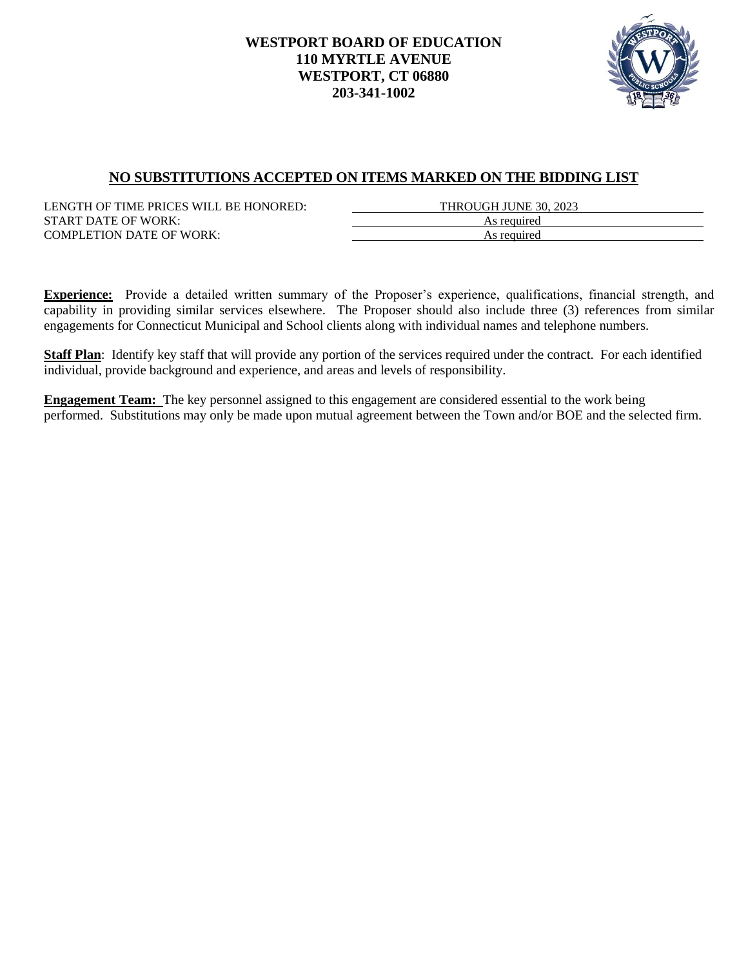

# **NO SUBSTITUTIONS ACCEPTED ON ITEMS MARKED ON THE BIDDING LIST**

LENGTH OF TIME PRICES WILL BE HONORED: THROUGH JUNE 30, 2023 START DATE OF WORK: As required COMPLETION DATE OF WORK: As required

**Experience:** Provide a detailed written summary of the Proposer's experience, qualifications, financial strength, and capability in providing similar services elsewhere. The Proposer should also include three (3) references from similar engagements for Connecticut Municipal and School clients along with individual names and telephone numbers.

**Staff Plan**: Identify key staff that will provide any portion of the services required under the contract. For each identified individual, provide background and experience, and areas and levels of responsibility.

**Engagement Team:** The key personnel assigned to this engagement are considered essential to the work being performed. Substitutions may only be made upon mutual agreement between the Town and/or BOE and the selected firm.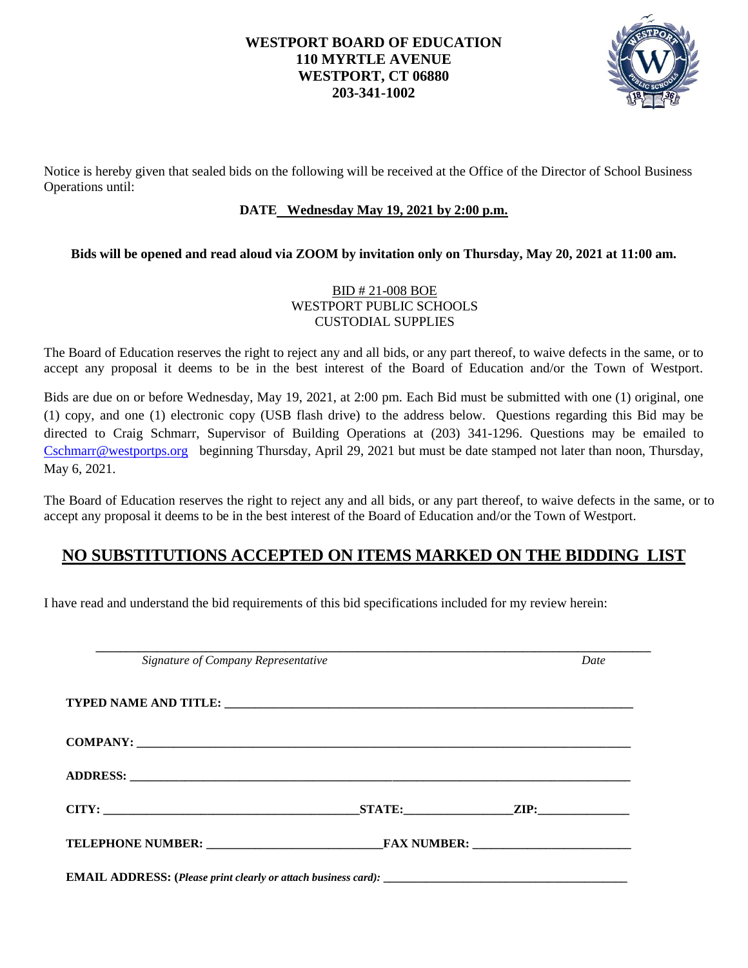

Notice is hereby given that sealed bids on the following will be received at the Office of the Director of School Business Operations until:

# **DATE Wednesday May 19, 2021 by 2:00 p.m.**

## **Bids will be opened and read aloud via ZOOM by invitation only on Thursday, May 20, 2021 at 11:00 am.**

## BID # 21-008 BOE WESTPORT PUBLIC SCHOOLS CUSTODIAL SUPPLIES

The Board of Education reserves the right to reject any and all bids, or any part thereof, to waive defects in the same, or to accept any proposal it deems to be in the best interest of the Board of Education and/or the Town of Westport.

Bids are due on or before Wednesday, May 19, 2021, at 2:00 pm. Each Bid must be submitted with one (1) original, one (1) copy, and one (1) electronic copy (USB flash drive) to the address below. Questions regarding this Bid may be directed to Craig Schmarr, Supervisor of Building Operations at (203) 341-1296. Questions may be emailed to [Cschmarr@westportps.org](mailto:Cschmarr@westportps.org) beginning Thursday, April 29, 2021 but must be date stamped not later than noon, Thursday, May 6, 2021.

The Board of Education reserves the right to reject any and all bids, or any part thereof, to waive defects in the same, or to accept any proposal it deems to be in the best interest of the Board of Education and/or the Town of Westport.

# **NO SUBSTITUTIONS ACCEPTED ON ITEMS MARKED ON THE BIDDING LIST**

I have read and understand the bid requirements of this bid specifications included for my review herein:

| Signature of Company Representative |  | Date |
|-------------------------------------|--|------|
|                                     |  |      |
|                                     |  |      |
|                                     |  |      |
|                                     |  |      |
|                                     |  |      |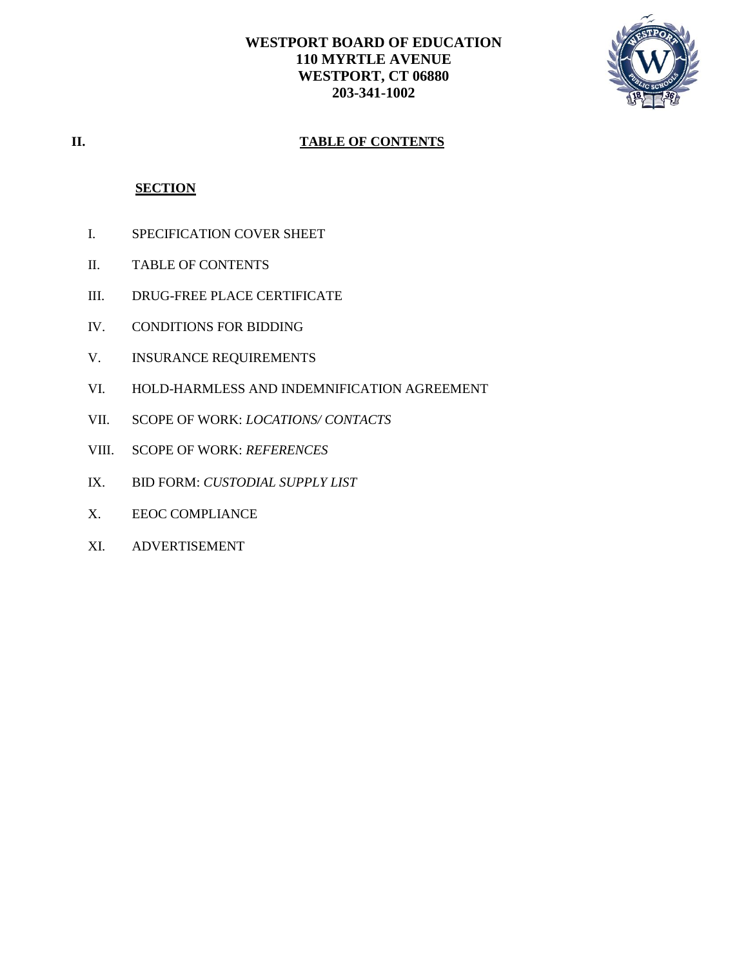

# **II. TABLE OF CONTENTS**

## **SECTION**

- I. SPECIFICATION COVER SHEET
- II. TABLE OF CONTENTS
- III. DRUG-FREE PLACE CERTIFICATE
- IV. CONDITIONS FOR BIDDING
- V. INSURANCE REQUIREMENTS
- VI. HOLD-HARMLESS AND INDEMNIFICATION AGREEMENT
- VII. SCOPE OF WORK: *LOCATIONS/ CONTACTS*
- VIII. SCOPE OF WORK: *REFERENCES*
- IX. BID FORM: *CUSTODIAL SUPPLY LIST*
- X. EEOC COMPLIANCE
- XI. ADVERTISEMENT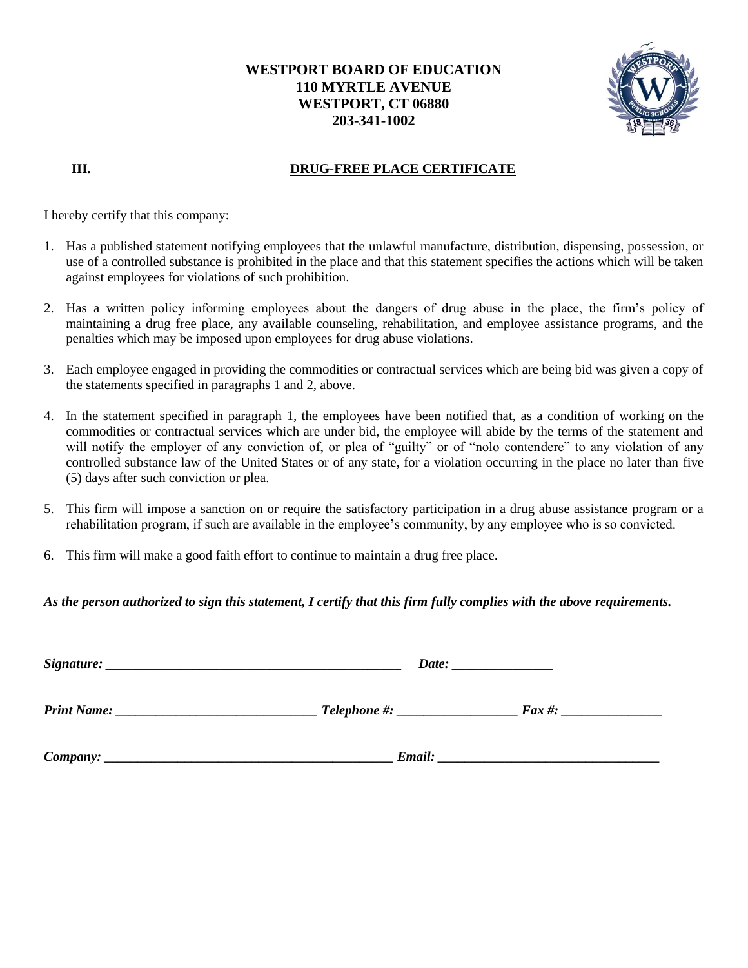

# **III.** DRUG-FREE PLACE CERTIFICATE

I hereby certify that this company:

- 1. Has a published statement notifying employees that the unlawful manufacture, distribution, dispensing, possession, or use of a controlled substance is prohibited in the place and that this statement specifies the actions which will be taken against employees for violations of such prohibition.
- 2. Has a written policy informing employees about the dangers of drug abuse in the place, the firm's policy of maintaining a drug free place, any available counseling, rehabilitation, and employee assistance programs, and the penalties which may be imposed upon employees for drug abuse violations.
- 3. Each employee engaged in providing the commodities or contractual services which are being bid was given a copy of the statements specified in paragraphs 1 and 2, above.
- 4. In the statement specified in paragraph 1, the employees have been notified that, as a condition of working on the commodities or contractual services which are under bid, the employee will abide by the terms of the statement and will notify the employer of any conviction of, or plea of "guilty" or of "nolo contendere" to any violation of any controlled substance law of the United States or of any state, for a violation occurring in the place no later than five (5) days after such conviction or plea.
- 5. This firm will impose a sanction on or require the satisfactory participation in a drug abuse assistance program or a rehabilitation program, if such are available in the employee's community, by any employee who is so convicted.
- 6. This firm will make a good faith effort to continue to maintain a drug free place.

## *As the person authorized to sign this statement, I certify that this firm fully complies with the above requirements.*

| Signature:<br><u> 1989 - Johann John Stein, markin fan de Amerikaansk kommunister oan de Amerikaansk kommunent fan de Amerikaans</u> |                                                                                                                                                                                                                                     |            |  |  |
|--------------------------------------------------------------------------------------------------------------------------------------|-------------------------------------------------------------------------------------------------------------------------------------------------------------------------------------------------------------------------------------|------------|--|--|
| <b>Print Name:</b>                                                                                                                   |                                                                                                                                                                                                                                     | $Fax \#$ : |  |  |
| $Company: \_$                                                                                                                        | <b>Email:</b> The contract of the contract of the contract of the contract of the contract of the contract of the contract of the contract of the contract of the contract of the contract of the contract of the contract of the c |            |  |  |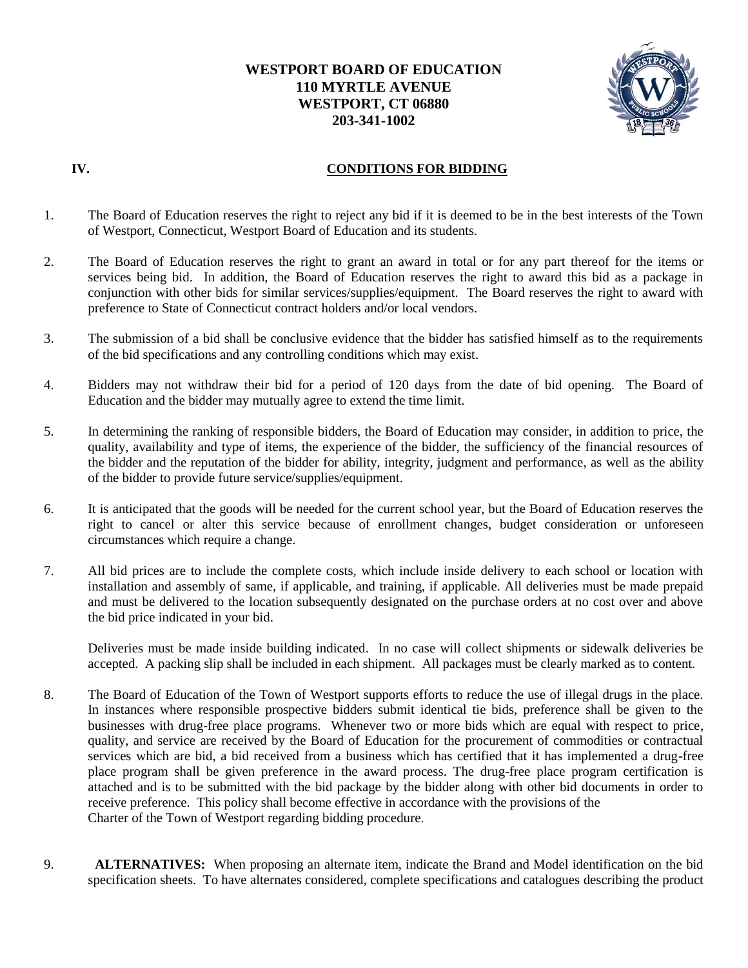

## **IV. CONDITIONS FOR BIDDING**

- 1. The Board of Education reserves the right to reject any bid if it is deemed to be in the best interests of the Town of Westport, Connecticut, Westport Board of Education and its students.
- 2. The Board of Education reserves the right to grant an award in total or for any part thereof for the items or services being bid. In addition, the Board of Education reserves the right to award this bid as a package in conjunction with other bids for similar services/supplies/equipment. The Board reserves the right to award with preference to State of Connecticut contract holders and/or local vendors.
- 3. The submission of a bid shall be conclusive evidence that the bidder has satisfied himself as to the requirements of the bid specifications and any controlling conditions which may exist.
- 4. Bidders may not withdraw their bid for a period of 120 days from the date of bid opening. The Board of Education and the bidder may mutually agree to extend the time limit.
- 5. In determining the ranking of responsible bidders, the Board of Education may consider, in addition to price, the quality, availability and type of items, the experience of the bidder, the sufficiency of the financial resources of the bidder and the reputation of the bidder for ability, integrity, judgment and performance, as well as the ability of the bidder to provide future service/supplies/equipment.
- 6. It is anticipated that the goods will be needed for the current school year, but the Board of Education reserves the right to cancel or alter this service because of enrollment changes, budget consideration or unforeseen circumstances which require a change.
- 7. All bid prices are to include the complete costs, which include inside delivery to each school or location with installation and assembly of same, if applicable, and training, if applicable. All deliveries must be made prepaid and must be delivered to the location subsequently designated on the purchase orders at no cost over and above the bid price indicated in your bid.

Deliveries must be made inside building indicated. In no case will collect shipments or sidewalk deliveries be accepted. A packing slip shall be included in each shipment. All packages must be clearly marked as to content.

- 8. The Board of Education of the Town of Westport supports efforts to reduce the use of illegal drugs in the place. In instances where responsible prospective bidders submit identical tie bids, preference shall be given to the businesses with drug-free place programs. Whenever two or more bids which are equal with respect to price, quality, and service are received by the Board of Education for the procurement of commodities or contractual services which are bid, a bid received from a business which has certified that it has implemented a drug-free place program shall be given preference in the award process. The drug-free place program certification is attached and is to be submitted with the bid package by the bidder along with other bid documents in order to receive preference. This policy shall become effective in accordance with the provisions of the Charter of the Town of Westport regarding bidding procedure.
- 9. **ALTERNATIVES:** When proposing an alternate item, indicate the Brand and Model identification on the bid specification sheets. To have alternates considered, complete specifications and catalogues describing the product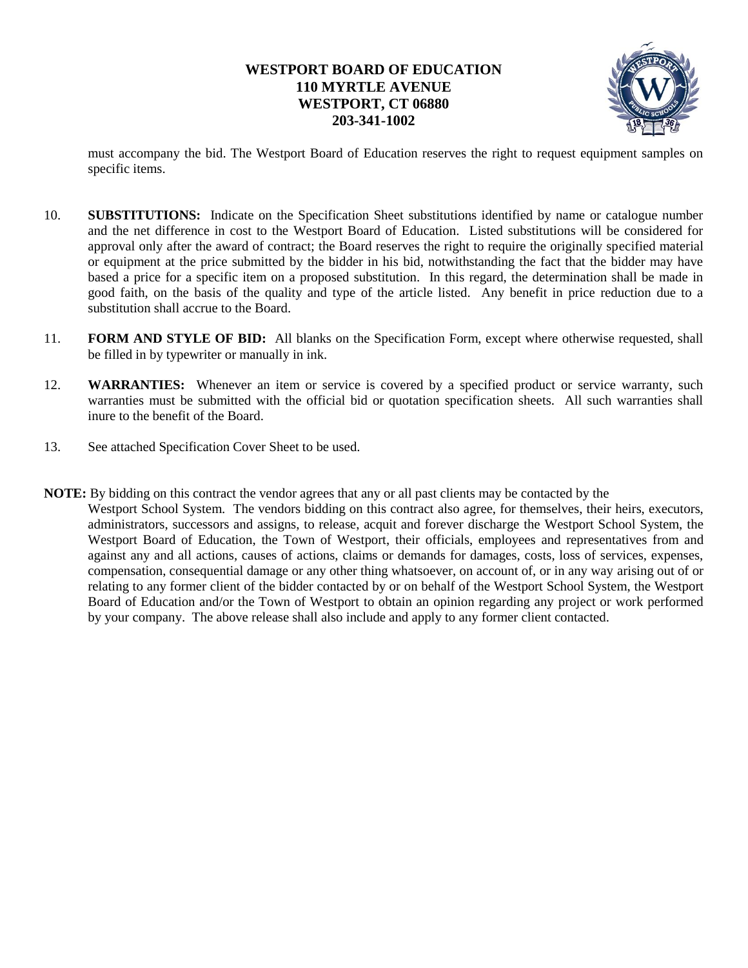

must accompany the bid. The Westport Board of Education reserves the right to request equipment samples on specific items.

- 10. **SUBSTITUTIONS:** Indicate on the Specification Sheet substitutions identified by name or catalogue number and the net difference in cost to the Westport Board of Education. Listed substitutions will be considered for approval only after the award of contract; the Board reserves the right to require the originally specified material or equipment at the price submitted by the bidder in his bid, notwithstanding the fact that the bidder may have based a price for a specific item on a proposed substitution. In this regard, the determination shall be made in good faith, on the basis of the quality and type of the article listed. Any benefit in price reduction due to a substitution shall accrue to the Board.
- 11. **FORM AND STYLE OF BID:** All blanks on the Specification Form, except where otherwise requested, shall be filled in by typewriter or manually in ink.
- 12. **WARRANTIES:** Whenever an item or service is covered by a specified product or service warranty, such warranties must be submitted with the official bid or quotation specification sheets. All such warranties shall inure to the benefit of the Board.
- 13. See attached Specification Cover Sheet to be used.
- **NOTE:** By bidding on this contract the vendor agrees that any or all past clients may be contacted by the Westport School System. The vendors bidding on this contract also agree, for themselves, their heirs, executors, administrators, successors and assigns, to release, acquit and forever discharge the Westport School System, the Westport Board of Education, the Town of Westport, their officials, employees and representatives from and against any and all actions, causes of actions, claims or demands for damages, costs, loss of services, expenses, compensation, consequential damage or any other thing whatsoever, on account of, or in any way arising out of or relating to any former client of the bidder contacted by or on behalf of the Westport School System, the Westport Board of Education and/or the Town of Westport to obtain an opinion regarding any project or work performed by your company. The above release shall also include and apply to any former client contacted.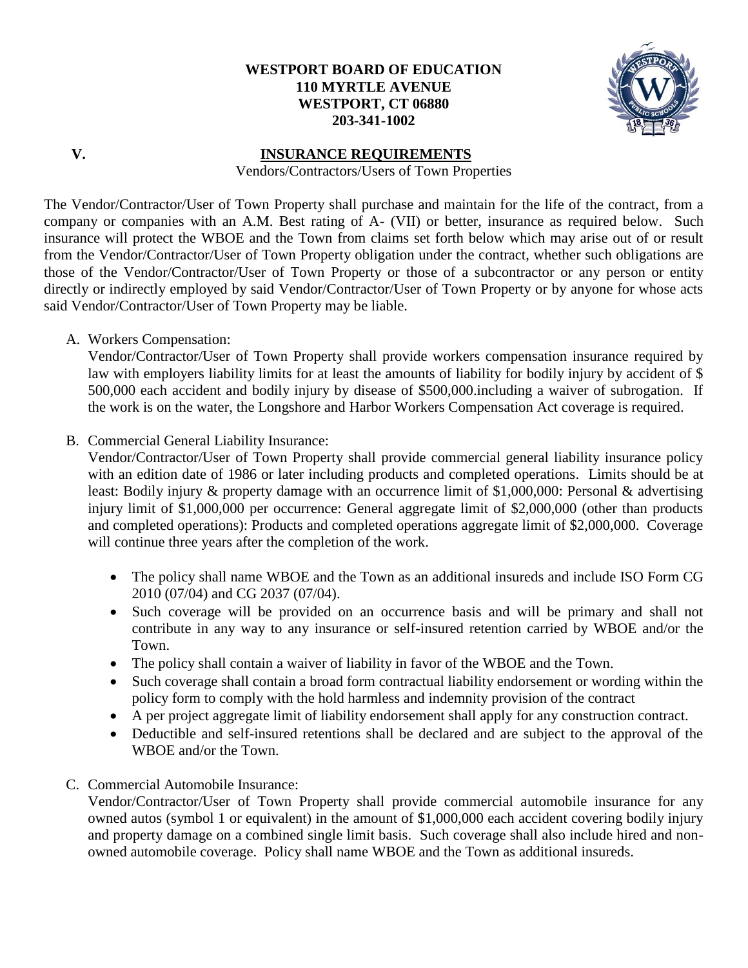

# **V. INSURANCE REQUIREMENTS**

Vendors/Contractors/Users of Town Properties

The Vendor/Contractor/User of Town Property shall purchase and maintain for the life of the contract, from a company or companies with an A.M. Best rating of A- (VII) or better, insurance as required below. Such insurance will protect the WBOE and the Town from claims set forth below which may arise out of or result from the Vendor/Contractor/User of Town Property obligation under the contract, whether such obligations are those of the Vendor/Contractor/User of Town Property or those of a subcontractor or any person or entity directly or indirectly employed by said Vendor/Contractor/User of Town Property or by anyone for whose acts said Vendor/Contractor/User of Town Property may be liable.

A. Workers Compensation:

Vendor/Contractor/User of Town Property shall provide workers compensation insurance required by law with employers liability limits for at least the amounts of liability for bodily injury by accident of \$ 500,000 each accident and bodily injury by disease of \$500,000.including a waiver of subrogation. If the work is on the water, the Longshore and Harbor Workers Compensation Act coverage is required.

B. Commercial General Liability Insurance:

Vendor/Contractor/User of Town Property shall provide commercial general liability insurance policy with an edition date of 1986 or later including products and completed operations. Limits should be at least: Bodily injury & property damage with an occurrence limit of \$1,000,000: Personal & advertising injury limit of \$1,000,000 per occurrence: General aggregate limit of \$2,000,000 (other than products and completed operations): Products and completed operations aggregate limit of \$2,000,000. Coverage will continue three years after the completion of the work.

- The policy shall name WBOE and the Town as an additional insureds and include ISO Form CG 2010 (07/04) and CG 2037 (07/04).
- Such coverage will be provided on an occurrence basis and will be primary and shall not contribute in any way to any insurance or self-insured retention carried by WBOE and/or the Town.
- The policy shall contain a waiver of liability in favor of the WBOE and the Town.
- Such coverage shall contain a broad form contractual liability endorsement or wording within the policy form to comply with the hold harmless and indemnity provision of the contract
- A per project aggregate limit of liability endorsement shall apply for any construction contract.
- Deductible and self-insured retentions shall be declared and are subject to the approval of the WBOE and/or the Town.
- C. Commercial Automobile Insurance:

Vendor/Contractor/User of Town Property shall provide commercial automobile insurance for any owned autos (symbol 1 or equivalent) in the amount of \$1,000,000 each accident covering bodily injury and property damage on a combined single limit basis. Such coverage shall also include hired and nonowned automobile coverage. Policy shall name WBOE and the Town as additional insureds.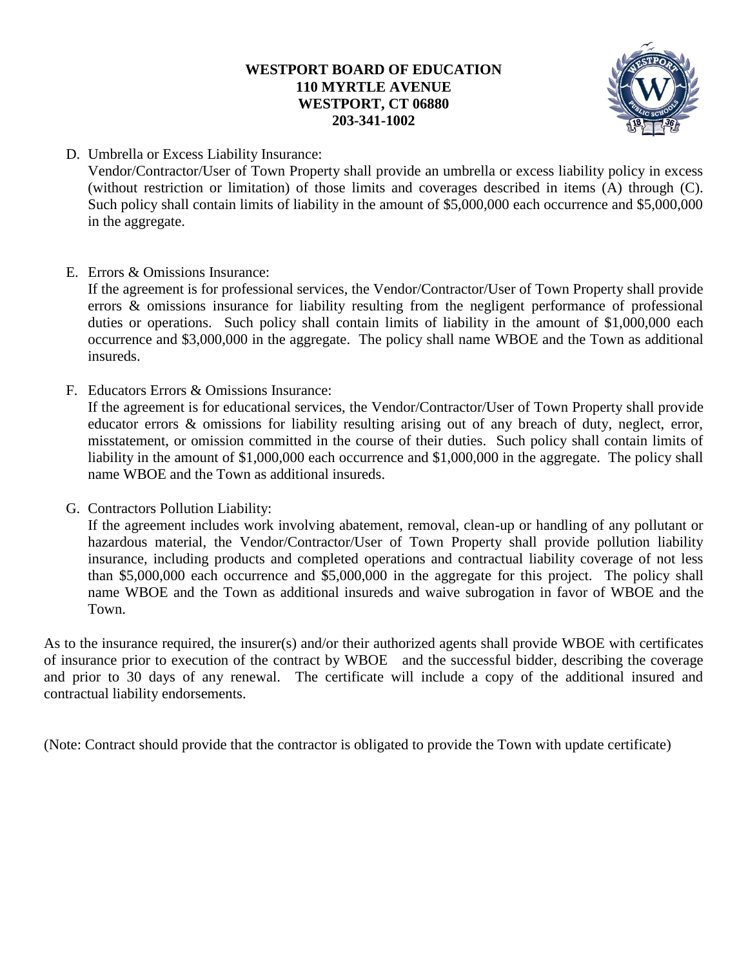

D. Umbrella or Excess Liability Insurance:

Vendor/Contractor/User of Town Property shall provide an umbrella or excess liability policy in excess (without restriction or limitation) of those limits and coverages described in items (A) through (C). Such policy shall contain limits of liability in the amount of \$5,000,000 each occurrence and \$5,000,000 in the aggregate.

E. Errors & Omissions Insurance:

If the agreement is for professional services, the Vendor/Contractor/User of Town Property shall provide errors & omissions insurance for liability resulting from the negligent performance of professional duties or operations. Such policy shall contain limits of liability in the amount of \$1,000,000 each occurrence and \$3,000,000 in the aggregate. The policy shall name WBOE and the Town as additional insureds.

F. Educators Errors & Omissions Insurance:

If the agreement is for educational services, the Vendor/Contractor/User of Town Property shall provide educator errors & omissions for liability resulting arising out of any breach of duty, neglect, error, misstatement, or omission committed in the course of their duties. Such policy shall contain limits of liability in the amount of \$1,000,000 each occurrence and \$1,000,000 in the aggregate. The policy shall name WBOE and the Town as additional insureds.

G. Contractors Pollution Liability:

If the agreement includes work involving abatement, removal, clean-up or handling of any pollutant or hazardous material, the Vendor/Contractor/User of Town Property shall provide pollution liability insurance, including products and completed operations and contractual liability coverage of not less than \$5,000,000 each occurrence and \$5,000,000 in the aggregate for this project. The policy shall name WBOE and the Town as additional insureds and waive subrogation in favor of WBOE and the Town.

As to the insurance required, the insurer(s) and/or their authorized agents shall provide WBOE with certificates of insurance prior to execution of the contract by WBOE and the successful bidder, describing the coverage and prior to 30 days of any renewal. The certificate will include a copy of the additional insured and contractual liability endorsements.

(Note: Contract should provide that the contractor is obligated to provide the Town with update certificate)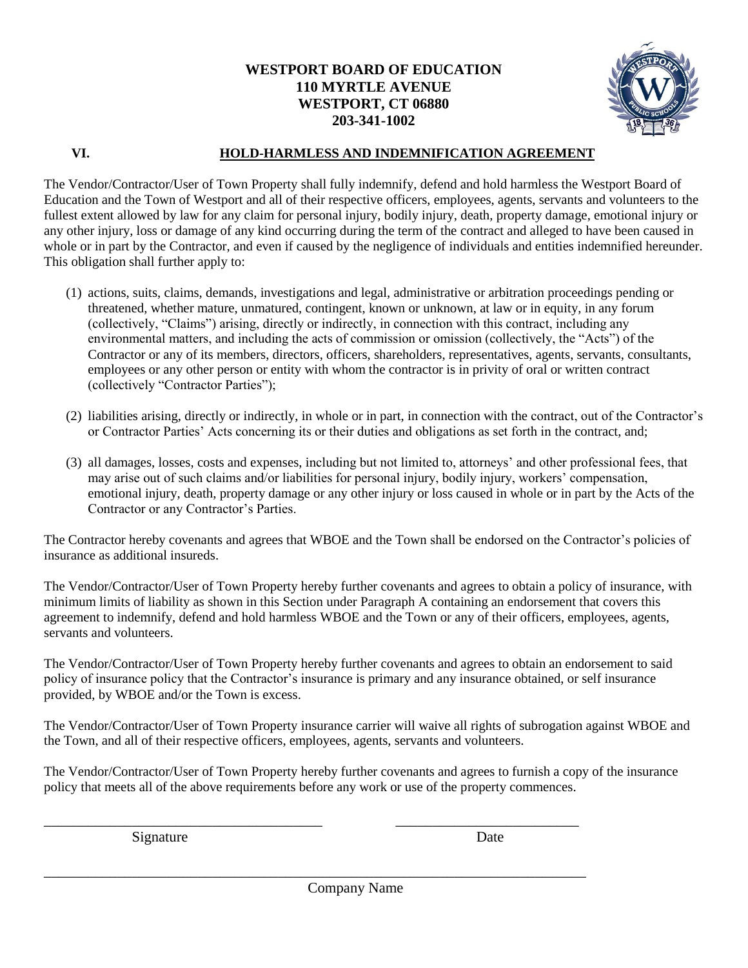

## **VI. HOLD-HARMLESS AND INDEMNIFICATION AGREEMENT**

The Vendor/Contractor/User of Town Property shall fully indemnify, defend and hold harmless the Westport Board of Education and the Town of Westport and all of their respective officers, employees, agents, servants and volunteers to the fullest extent allowed by law for any claim for personal injury, bodily injury, death, property damage, emotional injury or any other injury, loss or damage of any kind occurring during the term of the contract and alleged to have been caused in whole or in part by the Contractor, and even if caused by the negligence of individuals and entities indemnified hereunder. This obligation shall further apply to:

- (1) actions, suits, claims, demands, investigations and legal, administrative or arbitration proceedings pending or threatened, whether mature, unmatured, contingent, known or unknown, at law or in equity, in any forum (collectively, "Claims") arising, directly or indirectly, in connection with this contract, including any environmental matters, and including the acts of commission or omission (collectively, the "Acts") of the Contractor or any of its members, directors, officers, shareholders, representatives, agents, servants, consultants, employees or any other person or entity with whom the contractor is in privity of oral or written contract (collectively "Contractor Parties");
- (2) liabilities arising, directly or indirectly, in whole or in part, in connection with the contract, out of the Contractor's or Contractor Parties' Acts concerning its or their duties and obligations as set forth in the contract, and;
- (3) all damages, losses, costs and expenses, including but not limited to, attorneys' and other professional fees, that may arise out of such claims and/or liabilities for personal injury, bodily injury, workers' compensation, emotional injury, death, property damage or any other injury or loss caused in whole or in part by the Acts of the Contractor or any Contractor's Parties.

The Contractor hereby covenants and agrees that WBOE and the Town shall be endorsed on the Contractor's policies of insurance as additional insureds.

The Vendor/Contractor/User of Town Property hereby further covenants and agrees to obtain a policy of insurance, with minimum limits of liability as shown in this Section under Paragraph A containing an endorsement that covers this agreement to indemnify, defend and hold harmless WBOE and the Town or any of their officers, employees, agents, servants and volunteers.

The Vendor/Contractor/User of Town Property hereby further covenants and agrees to obtain an endorsement to said policy of insurance policy that the Contractor's insurance is primary and any insurance obtained, or self insurance provided, by WBOE and/or the Town is excess.

The Vendor/Contractor/User of Town Property insurance carrier will waive all rights of subrogation against WBOE and the Town, and all of their respective officers, employees, agents, servants and volunteers.

The Vendor/Contractor/User of Town Property hereby further covenants and agrees to furnish a copy of the insurance policy that meets all of the above requirements before any work or use of the property commences.

Signature Date

Company Name

\_\_\_\_\_\_\_\_\_\_\_\_\_\_\_\_\_\_\_\_\_\_\_\_\_\_\_\_\_\_\_\_\_\_\_\_\_\_ \_\_\_\_\_\_\_\_\_\_\_\_\_\_\_\_\_\_\_\_\_\_\_\_\_

\_\_\_\_\_\_\_\_\_\_\_\_\_\_\_\_\_\_\_\_\_\_\_\_\_\_\_\_\_\_\_\_\_\_\_\_\_\_\_\_\_\_\_\_\_\_\_\_\_\_\_\_\_\_\_\_\_\_\_\_\_\_\_\_\_\_\_\_\_\_\_\_\_\_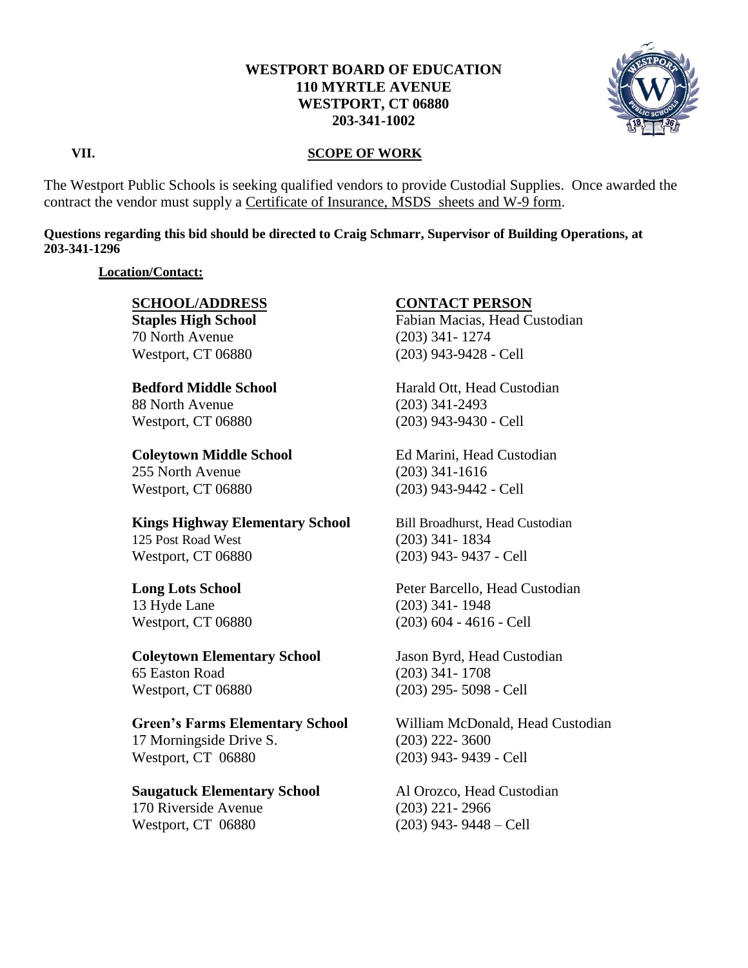

## **VII. SCOPE OF WORK**

The Westport Public Schools is seeking qualified vendors to provide Custodial Supplies. Once awarded the contract the vendor must supply a Certificate of Insurance, MSDS sheets and W-9 form.

## **Questions regarding this bid should be directed to Craig Schmarr, Supervisor of Building Operations, at 203-341-1296**

## **Location/Contact:**

70 North Avenue (203) 341- 1274

88 North Avenue (203) 341-2493

# 255 North Avenue (203) 341-1616 Westport, CT 06880 (203) 943-9442 - Cell

**Kings Highway Elementary School** Bill Broadhurst, Head Custodian 125 Post Road West (203) 341- 1834 Westport, CT 06880 (203) 943- 9437 - Cell

**Coleytown Elementary School** Jason Byrd, Head Custodian 65 Easton Road (203) 341- 1708 Westport, CT 06880 (203) 295- 5098 - Cell

**Green's Farms Elementary School** William McDonald, Head Custodian 17 Morningside Drive S. (203) 222- 3600 Westport, CT 06880 (203) 943- 9439 - Cell

## **Saugatuck Elementary School** Al Orozco, Head Custodian 170 Riverside Avenue (203) 221- 2966

# **SCHOOL/ADDRESS CONTACT PERSON**

**Staples High School** Fabian Macias, Head Custodian Westport, CT 06880 (203) 943-9428 - Cell

**Bedford Middle School The Harald Ott, Head Custodian** Westport, CT 06880 (203) 943-9430 - Cell

**Coleytown Middle School** Ed Marini, Head Custodian

**Long Lots School** Peter Barcello, Head Custodian 13 Hyde Lane (203) 341- 1948 Westport, CT 06880 (203) 604 - 4616 - Cell

Westport, CT 06880 (203) 943- 9448 – Cell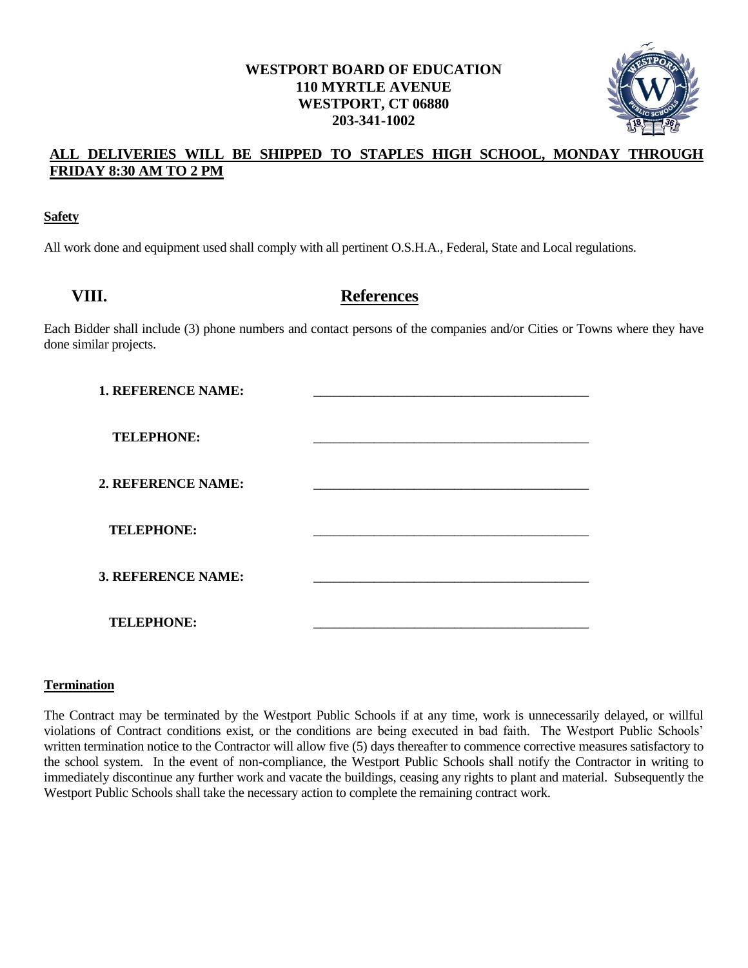

# **ALL DELIVERIES WILL BE SHIPPED TO STAPLES HIGH SCHOOL, MONDAY THROUGH FRIDAY 8:30 AM TO 2 PM**

## **Safety**

All work done and equipment used shall comply with all pertinent O.S.H.A., Federal, State and Local regulations.

# **VIII. References**

Each Bidder shall include (3) phone numbers and contact persons of the companies and/or Cities or Towns where they have done similar projects.

| 1. REFERENCE NAME: |  |
|--------------------|--|
| <b>TELEPHONE:</b>  |  |
| 2. REFERENCE NAME: |  |
| <b>TELEPHONE:</b>  |  |
| 3. REFERENCE NAME: |  |
| <b>TELEPHONE:</b>  |  |

## **Termination**

The Contract may be terminated by the Westport Public Schools if at any time, work is unnecessarily delayed, or willful violations of Contract conditions exist, or the conditions are being executed in bad faith. The Westport Public Schools' written termination notice to the Contractor will allow five (5) days thereafter to commence corrective measures satisfactory to the school system. In the event of non-compliance, the Westport Public Schools shall notify the Contractor in writing to immediately discontinue any further work and vacate the buildings, ceasing any rights to plant and material. Subsequently the Westport Public Schools shall take the necessary action to complete the remaining contract work.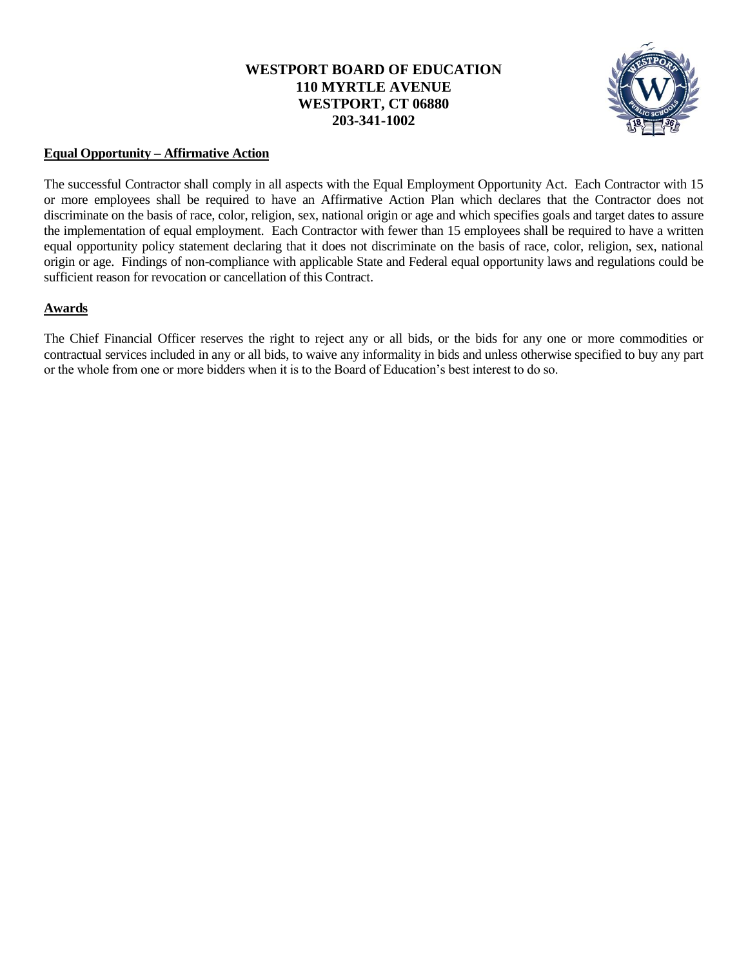

## **Equal Opportunity – Affirmative Action**

The successful Contractor shall comply in all aspects with the Equal Employment Opportunity Act. Each Contractor with 15 or more employees shall be required to have an Affirmative Action Plan which declares that the Contractor does not discriminate on the basis of race, color, religion, sex, national origin or age and which specifies goals and target dates to assure the implementation of equal employment. Each Contractor with fewer than 15 employees shall be required to have a written equal opportunity policy statement declaring that it does not discriminate on the basis of race, color, religion, sex, national origin or age. Findings of non-compliance with applicable State and Federal equal opportunity laws and regulations could be sufficient reason for revocation or cancellation of this Contract.

## **Awards**

The Chief Financial Officer reserves the right to reject any or all bids, or the bids for any one or more commodities or contractual services included in any or all bids, to waive any informality in bids and unless otherwise specified to buy any part or the whole from one or more bidders when it is to the Board of Education's best interest to do so.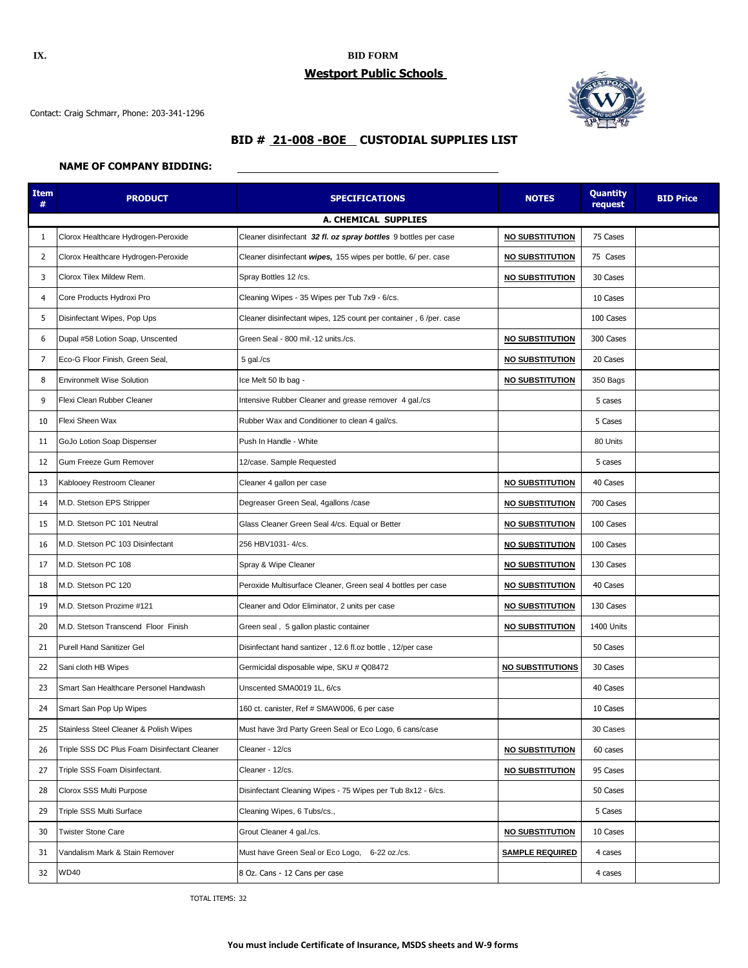## **IX. BID FORM Westport Public Schools**

Contact: Craig Schmarr, Phone: 203-341-1296



# **BID # 21-008 -BOE CUSTODIAL SUPPLIES LIST**

## **NAME OF COMPANY BIDDING:**

| <b>Item</b><br># | <b>PRODUCT</b>                               | <b>SPECIFICATIONS</b>                                             | <b>NOTES</b>            | <b>Quantity</b><br>request | <b>BID Price</b> |  |  |
|------------------|----------------------------------------------|-------------------------------------------------------------------|-------------------------|----------------------------|------------------|--|--|
|                  | A. CHEMICAL SUPPLIES                         |                                                                   |                         |                            |                  |  |  |
| 1                | Clorox Healthcare Hydrogen-Peroxide          | Cleaner disinfectant 32 fl. oz spray bottles 9 bottles per case   | <b>NO SUBSTITUTION</b>  | 75 Cases                   |                  |  |  |
| 2                | Clorox Healthcare Hydrogen-Peroxide          | Cleaner disinfectant wipes, 155 wipes per bottle, 6/ per. case    | <b>NO SUBSTITUTION</b>  | 75 Cases                   |                  |  |  |
| 3                | Clorox Tilex Mildew Rem.                     | Spray Bottles 12 /cs.                                             | <b>NO SUBSTITUTION</b>  | 30 Cases                   |                  |  |  |
| 4                | Core Products Hydroxi Pro                    | Cleaning Wipes - 35 Wipes per Tub 7x9 - 6/cs.                     |                         | 10 Cases                   |                  |  |  |
| 5                | Disinfectant Wipes, Pop Ups                  | Cleaner disinfectant wipes, 125 count per container, 6 /per. case |                         | 100 Cases                  |                  |  |  |
| 6                | Dupal #58 Lotion Soap, Unscented             | Green Seal - 800 mil.-12 units./cs.                               | <b>NO SUBSTITUTION</b>  | 300 Cases                  |                  |  |  |
| $\overline{7}$   | Eco-G Floor Finish, Green Seal,              | 5 gal./cs                                                         | <b>NO SUBSTITUTION</b>  | 20 Cases                   |                  |  |  |
| 8                | <b>Environmelt Wise Solution</b>             | Ice Melt 50 lb bag -                                              | <b>NO SUBSTITUTION</b>  | 350 Bags                   |                  |  |  |
| 9                | Flexi Clean Rubber Cleaner                   | Intensive Rubber Cleaner and grease remover 4 gal./cs             |                         | 5 cases                    |                  |  |  |
| 10               | Flexi Sheen Wax                              | Rubber Wax and Conditioner to clean 4 gal/cs.                     |                         | 5 Cases                    |                  |  |  |
| 11               | GoJo Lotion Soap Dispenser                   | Push In Handle - White                                            |                         | 80 Units                   |                  |  |  |
| 12               | Gum Freeze Gum Remover                       | 12/case. Sample Requested                                         |                         | 5 cases                    |                  |  |  |
| 13               | Kablooey Restroom Cleaner                    | Cleaner 4 gallon per case                                         | <b>NO SUBSTITUTION</b>  | 40 Cases                   |                  |  |  |
| 14               | M.D. Stetson EPS Stripper                    | Degreaser Green Seal, 4gallons /case                              | <b>NO SUBSTITUTION</b>  | 700 Cases                  |                  |  |  |
| 15               | M.D. Stetson PC 101 Neutral                  | Glass Cleaner Green Seal 4/cs. Equal or Better                    | <b>NO SUBSTITUTION</b>  | 100 Cases                  |                  |  |  |
| 16               | M.D. Stetson PC 103 Disinfectant             | 256 HBV1031-4/cs.                                                 | <b>NO SUBSTITUTION</b>  | 100 Cases                  |                  |  |  |
| 17               | M.D. Stetson PC 108                          | Spray & Wipe Cleaner                                              | <b>NO SUBSTITUTION</b>  | 130 Cases                  |                  |  |  |
| 18               | M.D. Stetson PC 120                          | Peroxide Multisurface Cleaner, Green seal 4 bottles per case      | <b>NO SUBSTITUTION</b>  | 40 Cases                   |                  |  |  |
| 19               | M.D. Stetson Prozime #121                    | Cleaner and Odor Eliminator, 2 units per case                     | <b>NO SUBSTITUTION</b>  | 130 Cases                  |                  |  |  |
| 20               | M.D. Stetson Transcend Floor Finish          | Green seal, 5 gallon plastic container                            | <b>NO SUBSTITUTION</b>  | 1400 Units                 |                  |  |  |
| 21               | <b>Purell Hand Sanitizer Gel</b>             | Disinfectant hand santizer, 12.6 fl.oz bottle, 12/per case        |                         | 50 Cases                   |                  |  |  |
| 22               | Sani cloth HB Wipes                          | Germicidal disposable wipe, SKU # Q08472                          | <b>NO SUBSTITUTIONS</b> | 30 Cases                   |                  |  |  |
| 23               | Smart San Healthcare Personel Handwash       | Unscented SMA0019 1L, 6/cs                                        |                         | 40 Cases                   |                  |  |  |
| 24               | Smart San Pop Up Wipes                       | 160 ct. canister, Ref # SMAW006, 6 per case                       |                         | 10 Cases                   |                  |  |  |
| 25               | Stainless Steel Cleaner & Polish Wipes       | Must have 3rd Party Green Seal or Eco Logo, 6 cans/case           |                         | 30 Cases                   |                  |  |  |
| 26               | Triple SSS DC Plus Foam Disinfectant Cleaner | Cleaner - 12/cs                                                   | <b>NO SUBSTITUTION</b>  | 60 cases                   |                  |  |  |
| 27               | Triple SSS Foam Disinfectant.                | Cleaner - 12/cs.                                                  | <b>NO SUBSTITUTION</b>  | 95 Cases                   |                  |  |  |
| 28               | Clorox SSS Multi Purpose                     | Disinfectant Cleaning Wipes - 75 Wipes per Tub 8x12 - 6/cs.       |                         | 50 Cases                   |                  |  |  |
| 29               | Triple SSS Multi Surface                     | Cleaning Wipes, 6 Tubs/cs.,                                       |                         | 5 Cases                    |                  |  |  |
| 30               | <b>Twister Stone Care</b>                    | Grout Cleaner 4 gal./cs.                                          | <b>NO SUBSTITUTION</b>  | 10 Cases                   |                  |  |  |
| 31               | Vandalism Mark & Stain Remover               | Must have Green Seal or Eco Logo, 6-22 oz./cs.                    | <b>SAMPLE REQUIRED</b>  | 4 cases                    |                  |  |  |
| 32               | <b>WD40</b>                                  | 8 Oz. Cans - 12 Cans per case                                     |                         | 4 cases                    |                  |  |  |

TOTAL ITEMS: 32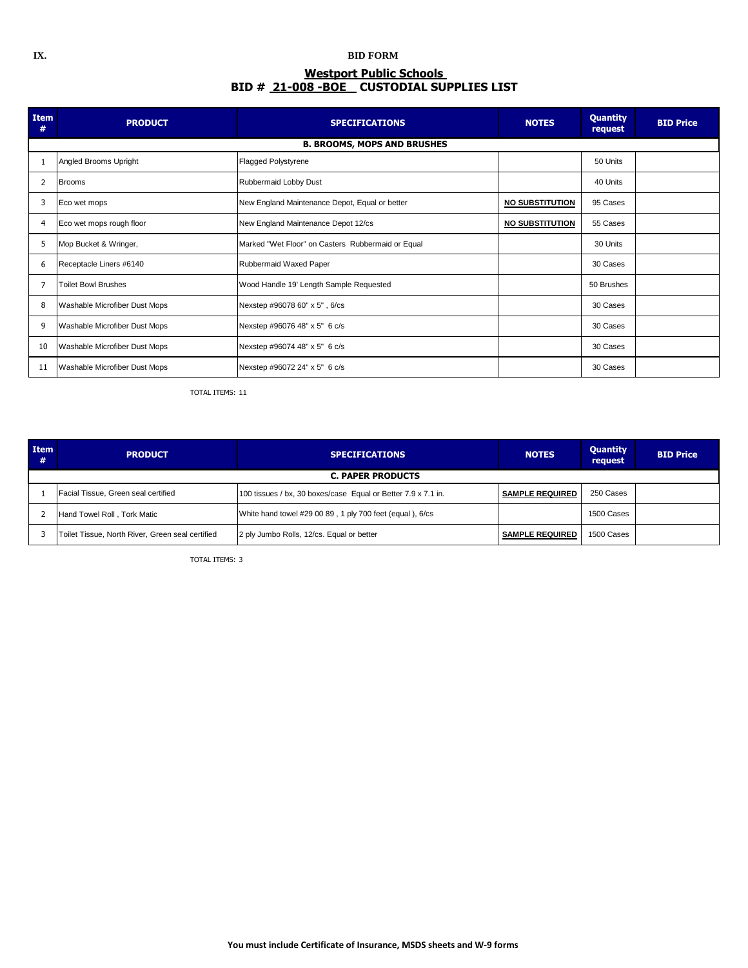## **IX. BID FORM BID # 21-008 -BOE CUSTODIAL SUPPLIES LIST Westport Public Schools**

| Item<br>#      | <b>PRODUCT</b>                | <b>SPECIFICATIONS</b>                             | <b>NOTES</b>           | <b>Quantity</b><br>request | <b>BID Price</b> |
|----------------|-------------------------------|---------------------------------------------------|------------------------|----------------------------|------------------|
|                |                               | <b>B. BROOMS, MOPS AND BRUSHES</b>                |                        |                            |                  |
|                | Angled Brooms Upright         | <b>Flagged Polystyrene</b>                        |                        | 50 Units                   |                  |
|                | <b>Brooms</b>                 | Rubbermaid Lobby Dust                             |                        | 40 Units                   |                  |
| 3              | Eco wet mops                  | New England Maintenance Depot, Equal or better    | <b>NO SUBSTITUTION</b> | 95 Cases                   |                  |
| $\overline{4}$ | Eco wet mops rough floor      | New England Maintenance Depot 12/cs               | <b>NO SUBSTITUTION</b> | 55 Cases                   |                  |
| 5              | Mop Bucket & Wringer,         | Marked "Wet Floor" on Casters Rubbermaid or Equal |                        | 30 Units                   |                  |
| 6              | Receptacle Liners #6140       | Rubbermaid Waxed Paper                            |                        | 30 Cases                   |                  |
|                | <b>Toilet Bowl Brushes</b>    | Wood Handle 19' Length Sample Requested           |                        | 50 Brushes                 |                  |
| 8              | Washable Microfiber Dust Mops | Nexstep #96078 60" x 5", 6/cs                     |                        | 30 Cases                   |                  |
| 9              | Washable Microfiber Dust Mops | Nexstep #96076 48" x 5" 6 c/s                     |                        | 30 Cases                   |                  |
| 10             | Washable Microfiber Dust Mops | Nexstep #96074 48" x 5" 6 c/s                     |                        | 30 Cases                   |                  |
| 11             | Washable Microfiber Dust Mops | Nexstep #96072 24" x 5" 6 c/s                     |                        | 30 Cases                   |                  |

TOTAL ITEMS: 11

| <b>Item</b><br># | <b>PRODUCT</b>                                   | <b>SPECIFICATIONS</b>                                         | <b>NOTES</b>           | <b>Quantity</b><br>request | <b>BID Price</b> |  |  |
|------------------|--------------------------------------------------|---------------------------------------------------------------|------------------------|----------------------------|------------------|--|--|
|                  | <b>C. PAPER PRODUCTS</b>                         |                                                               |                        |                            |                  |  |  |
|                  | Facial Tissue, Green seal certified              | 100 tissues / bx, 30 boxes/case Equal or Better 7.9 x 7.1 in. | <b>SAMPLE REQUIRED</b> | 250 Cases                  |                  |  |  |
|                  | Hand Towel Roll, Tork Matic                      | White hand towel #29 00 89, 1 ply 700 feet (equal), 6/cs      |                        | 1500 Cases                 |                  |  |  |
|                  | Toilet Tissue, North River, Green seal certified | 2 ply Jumbo Rolls, 12/cs. Equal or better                     | <b>SAMPLE REQUIRED</b> | 1500 Cases                 |                  |  |  |

TOTAL ITEMS: 3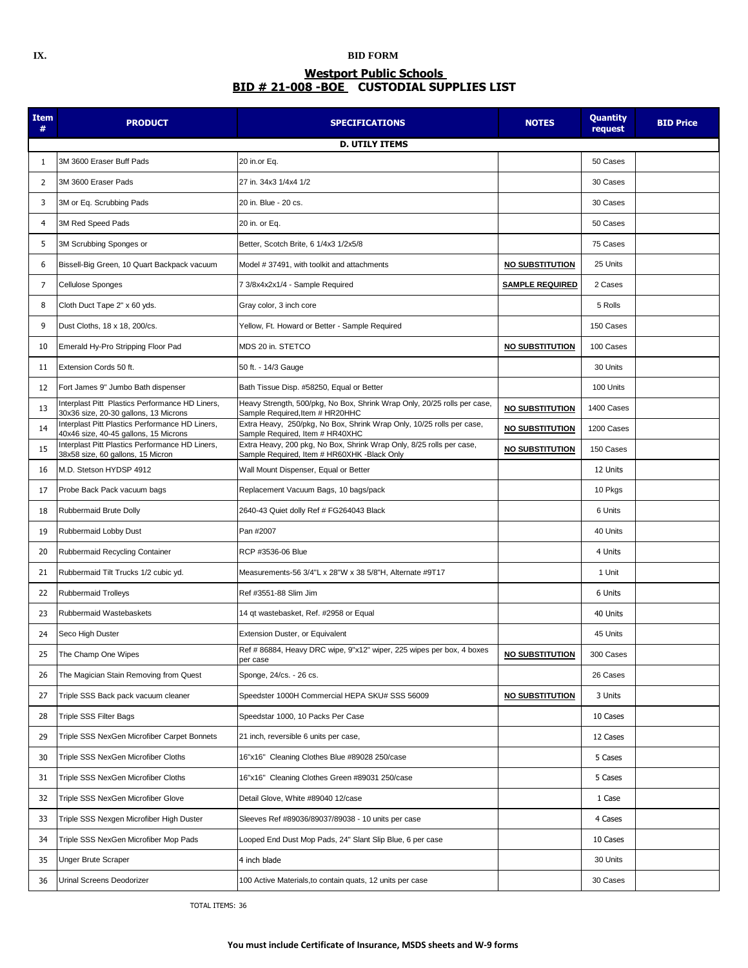## **IX. BID FORM Westport Public Schools BID # 21-008 -BOE CUSTODIAL SUPPLIES LIST**

| <b>Item</b><br># | <b>PRODUCT</b>                                                                           | <b>SPECIFICATIONS</b>                                                                                               | <b>NOTES</b>           | <b>Quantity</b><br>request | <b>BID Price</b> |
|------------------|------------------------------------------------------------------------------------------|---------------------------------------------------------------------------------------------------------------------|------------------------|----------------------------|------------------|
|                  | <b>D. UTILY ITEMS</b>                                                                    |                                                                                                                     |                        |                            |                  |
| 1                | 3M 3600 Eraser Buff Pads                                                                 | 20 in.or Eq.                                                                                                        |                        | 50 Cases                   |                  |
| 2                | 3M 3600 Eraser Pads                                                                      | 27 in. 34x3 1/4x4 1/2                                                                                               |                        | 30 Cases                   |                  |
| 3                | 3M or Eq. Scrubbing Pads                                                                 | 20 in. Blue - 20 cs.                                                                                                |                        | 30 Cases                   |                  |
| 4                | 3M Red Speed Pads                                                                        | 20 in. or Eq.                                                                                                       |                        | 50 Cases                   |                  |
| 5                | 3M Scrubbing Sponges or                                                                  | Better, Scotch Brite, 6 1/4x3 1/2x5/8                                                                               |                        | 75 Cases                   |                  |
| 6                | Bissell-Big Green, 10 Quart Backpack vacuum                                              | Model #37491, with toolkit and attachments                                                                          | <b>NO SUBSTITUTION</b> | 25 Units                   |                  |
| $\overline{7}$   | Cellulose Sponges                                                                        | 7 3/8x4x2x1/4 - Sample Required                                                                                     | <u>SAMPLE REQUIRED</u> | 2 Cases                    |                  |
| 8                | Cloth Duct Tape 2" x 60 yds.                                                             | Gray color, 3 inch core                                                                                             |                        | 5 Rolls                    |                  |
| 9                | Dust Cloths, 18 x 18, 200/cs.                                                            | Yellow, Ft. Howard or Better - Sample Required                                                                      |                        | 150 Cases                  |                  |
| 10               | Emerald Hy-Pro Stripping Floor Pad                                                       | MDS 20 in. STETCO                                                                                                   | <b>NO SUBSTITUTION</b> | 100 Cases                  |                  |
| 11               | Extension Cords 50 ft.                                                                   | 50 ft. - 14/3 Gauge                                                                                                 |                        | 30 Units                   |                  |
| 12               | Fort James 9" Jumbo Bath dispenser                                                       | Bath Tissue Disp. #58250, Equal or Better                                                                           |                        | 100 Units                  |                  |
| 13               | Interplast Pitt Plastics Performance HD Liners,<br>30x36 size, 20-30 gallons, 13 Microns | Heavy Strength, 500/pkg, No Box, Shrink Wrap Only, 20/25 rolls per case,<br>Sample Required, Item # HR20HHC         | <b>NO SUBSTITUTION</b> | 1400 Cases                 |                  |
| 14               | Interplast Pitt Plastics Performance HD Liners,<br>40x46 size, 40-45 gallons, 15 Microns | Extra Heavy, 250/pkg, No Box, Shrink Wrap Only, 10/25 rolls per case,<br>Sample Required, Item # HR40XHC            | <b>NO SUBSTITUTION</b> | 1200 Cases                 |                  |
| 15               | Interplast Pitt Plastics Performance HD Liners,<br>38x58 size, 60 gallons, 15 Micron     | Extra Heavy, 200 pkg, No Box, Shrink Wrap Only, 8/25 rolls per case,<br>Sample Required, Item # HR60XHK -Black Only | <b>NO SUBSTITUTION</b> | 150 Cases                  |                  |
| 16               | M.D. Stetson HYDSP 4912                                                                  | Wall Mount Dispenser, Equal or Better                                                                               |                        | 12 Units                   |                  |
| 17               | Probe Back Pack vacuum bags                                                              | Replacement Vacuum Bags, 10 bags/pack                                                                               |                        | 10 Pkgs                    |                  |
| 18               | Rubbermaid Brute Dolly                                                                   | 2640-43 Quiet dolly Ref # FG264043 Black                                                                            |                        | 6 Units                    |                  |
| 19               | Rubbermaid Lobby Dust                                                                    | Pan #2007                                                                                                           |                        | 40 Units                   |                  |
| 20               | Rubbermaid Recycling Container                                                           | RCP #3536-06 Blue                                                                                                   |                        | 4 Units                    |                  |
| 21               | Rubbermaid Tilt Trucks 1/2 cubic yd.                                                     | Measurements-56 3/4"L x 28"W x 38 5/8"H, Alternate #9T17                                                            |                        | 1 Unit                     |                  |
| 22               | <b>Rubbermaid Trolleys</b>                                                               | Ref #3551-88 Slim Jim                                                                                               |                        | 6 Units                    |                  |
| 23               | Rubbermaid Wastebaskets                                                                  | 14 qt wastebasket, Ref. #2958 or Equal                                                                              |                        | 40 Units                   |                  |
| 24               | Seco High Duster                                                                         | Extension Duster, or Equivalent                                                                                     |                        | 45 Units                   |                  |
| 25               | The Champ One Wipes                                                                      | Ref # 86884, Heavy DRC wipe, 9"x12" wiper, 225 wipes per box, 4 boxes<br>per case                                   | NO SUBSTITUTION        | 300 Cases                  |                  |
| 26               | The Magician Stain Removing from Quest                                                   | Sponge, 24/cs. - 26 cs.                                                                                             |                        | 26 Cases                   |                  |
| 27               | Triple SSS Back pack vacuum cleaner                                                      | Speedster 1000H Commercial HEPA SKU# SSS 56009                                                                      | <b>NO SUBSTITUTION</b> | 3 Units                    |                  |
| 28               | Triple SSS Filter Bags                                                                   | Speedstar 1000, 10 Packs Per Case                                                                                   |                        | 10 Cases                   |                  |
| 29               | Triple SSS NexGen Microfiber Carpet Bonnets                                              | 21 inch, reversible 6 units per case,                                                                               |                        | 12 Cases                   |                  |
| 30               | Triple SSS NexGen Microfiber Cloths                                                      | 16"x16" Cleaning Clothes Blue #89028 250/case                                                                       |                        | 5 Cases                    |                  |
| 31               | Triple SSS NexGen Microfiber Cloths                                                      | 16"x16" Cleaning Clothes Green #89031 250/case                                                                      |                        | 5 Cases                    |                  |
| 32               | Triple SSS NexGen Microfiber Glove                                                       | Detail Glove, White #89040 12/case                                                                                  |                        | 1 Case                     |                  |
| 33               | Triple SSS Nexgen Microfiber High Duster                                                 | Sleeves Ref #89036/89037/89038 - 10 units per case                                                                  |                        | 4 Cases                    |                  |
| 34               | Triple SSS NexGen Microfiber Mop Pads                                                    | Looped End Dust Mop Pads, 24" Slant Slip Blue, 6 per case                                                           |                        | 10 Cases                   |                  |
| 35               | <b>Unger Brute Scraper</b>                                                               | 4 inch blade                                                                                                        |                        | 30 Units                   |                  |
| 36               | <b>Urinal Screens Deodorizer</b>                                                         | 100 Active Materials, to contain quats, 12 units per case                                                           |                        | 30 Cases                   |                  |

TOTAL ITEMS: 36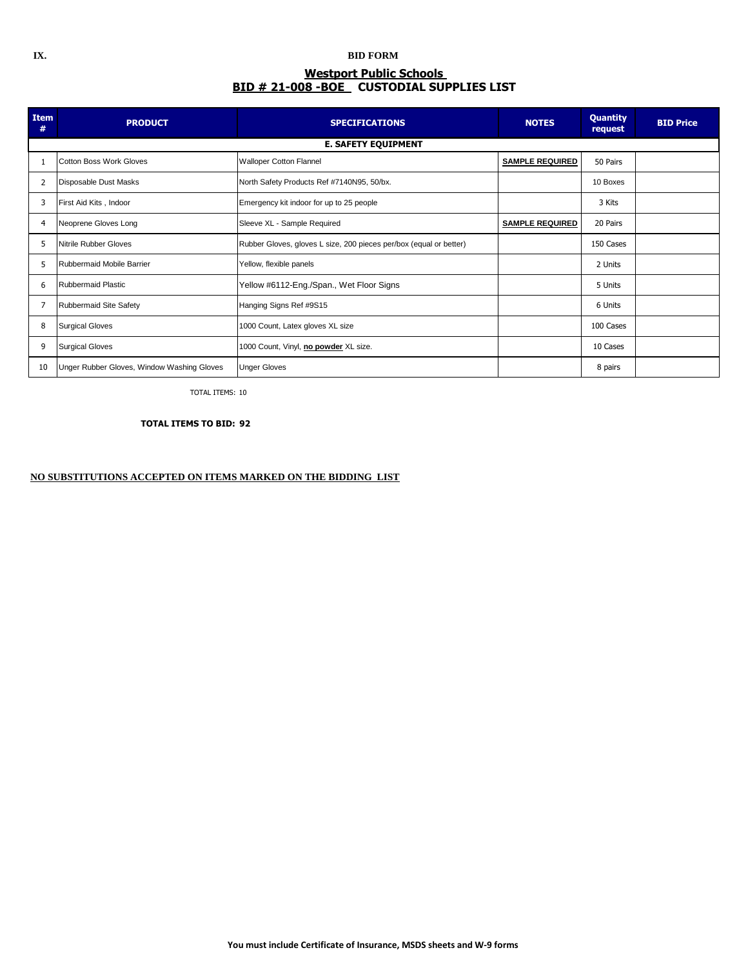## **IX. BID FORM Westport Public Schools BID # 21-008 -BOE CUSTODIAL SUPPLIES LIST**

| Item<br>#      | <b>PRODUCT</b>                             | <b>SPECIFICATIONS</b>                                              | <b>NOTES</b>           | <b>Quantity</b><br>request | <b>BID Price</b> |
|----------------|--------------------------------------------|--------------------------------------------------------------------|------------------------|----------------------------|------------------|
|                |                                            | <b>E. SAFETY EQUIPMENT</b>                                         |                        |                            |                  |
|                | <b>Cotton Boss Work Gloves</b>             | <b>Walloper Cotton Flannel</b>                                     | <b>SAMPLE REQUIRED</b> | 50 Pairs                   |                  |
| $\overline{2}$ | Disposable Dust Masks                      | North Safety Products Ref #7140N95, 50/bx.                         |                        | 10 Boxes                   |                  |
| 3              | First Aid Kits, Indoor                     | Emergency kit indoor for up to 25 people                           |                        | 3 Kits                     |                  |
| 4              | Neoprene Gloves Long                       | Sleeve XL - Sample Required                                        | <b>SAMPLE REQUIRED</b> | 20 Pairs                   |                  |
| 5              | Nitrile Rubber Gloves                      | Rubber Gloves, gloves L size, 200 pieces per/box (equal or better) |                        | 150 Cases                  |                  |
| 5              | Rubbermaid Mobile Barrier                  | Yellow, flexible panels                                            |                        | 2 Units                    |                  |
| 6              | <b>Rubbermaid Plastic</b>                  | Yellow #6112-Eng./Span., Wet Floor Signs                           |                        | 5 Units                    |                  |
| 7              | Rubbermaid Site Safety                     | Hanging Signs Ref #9S15                                            |                        | 6 Units                    |                  |
| 8              | <b>Surgical Gloves</b>                     | 1000 Count, Latex gloves XL size                                   |                        | 100 Cases                  |                  |
| 9              | <b>Surgical Gloves</b>                     | 1000 Count, Vinyl, no powder XL size.                              |                        | 10 Cases                   |                  |
| 10             | Unger Rubber Gloves, Window Washing Gloves | <b>Unger Gloves</b>                                                |                        | 8 pairs                    |                  |

TOTAL ITEMS: 10

 **TOTAL ITEMS TO BID: 92**

## **NO SUBSTITUTIONS ACCEPTED ON ITEMS MARKED ON THE BIDDING LIST**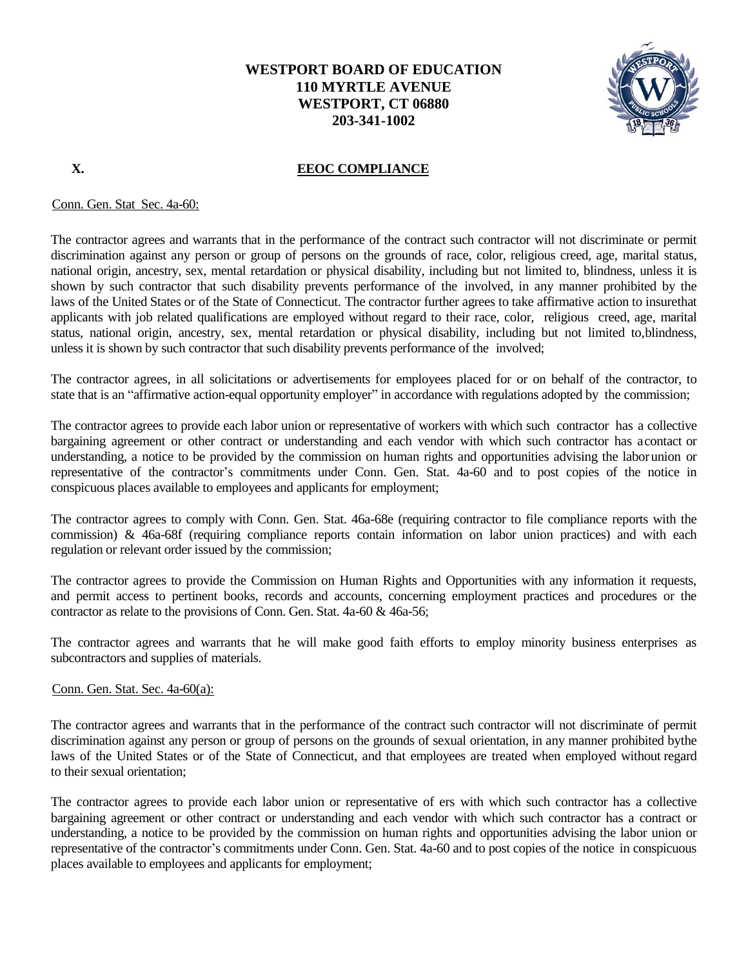

## **X. EEOC COMPLIANCE**

Conn. Gen. Stat Sec. 4a-60:

The contractor agrees and warrants that in the performance of the contract such contractor will not discriminate or permit discrimination against any person or group of persons on the grounds of race, color, religious creed, age, marital status, national origin, ancestry, sex, mental retardation or physical disability, including but not limited to, blindness, unless it is shown by such contractor that such disability prevents performance of the involved, in any manner prohibited by the laws of the United States or of the State of Connecticut. The contractor further agrees to take affirmative action to insurethat applicants with job related qualifications are employed without regard to their race, color, religious creed, age, marital status, national origin, ancestry, sex, mental retardation or physical disability, including but not limited to,blindness, unless it is shown by such contractor that such disability prevents performance of the involved;

The contractor agrees, in all solicitations or advertisements for employees placed for or on behalf of the contractor, to state that is an "affirmative action-equal opportunity employer" in accordance with regulations adopted by the commission;

The contractor agrees to provide each labor union or representative of workers with which such contractor has a collective bargaining agreement or other contract or understanding and each vendor with which such contractor has acontact or understanding, a notice to be provided by the commission on human rights and opportunities advising the laborunion or representative of the contractor's commitments under Conn. Gen. Stat. 4a-60 and to post copies of the notice in conspicuous places available to employees and applicants for employment;

The contractor agrees to comply with Conn. Gen. Stat. 46a-68e (requiring contractor to file compliance reports with the commission) & 46a-68f (requiring compliance reports contain information on labor union practices) and with each regulation or relevant order issued by the commission;

The contractor agrees to provide the Commission on Human Rights and Opportunities with any information it requests, and permit access to pertinent books, records and accounts, concerning employment practices and procedures or the contractor as relate to the provisions of Conn. Gen. Stat. 4a-60 & 46a-56;

The contractor agrees and warrants that he will make good faith efforts to employ minority business enterprises as subcontractors and supplies of materials.

## Conn. Gen. Stat. Sec. 4a-60(a):

The contractor agrees and warrants that in the performance of the contract such contractor will not discriminate of permit discrimination against any person or group of persons on the grounds of sexual orientation, in any manner prohibited bythe laws of the United States or of the State of Connecticut, and that employees are treated when employed without regard to their sexual orientation;

The contractor agrees to provide each labor union or representative of ers with which such contractor has a collective bargaining agreement or other contract or understanding and each vendor with which such contractor has a contract or understanding, a notice to be provided by the commission on human rights and opportunities advising the labor union or representative of the contractor's commitments under Conn. Gen. Stat. 4a-60 and to post copies of the notice in conspicuous places available to employees and applicants for employment;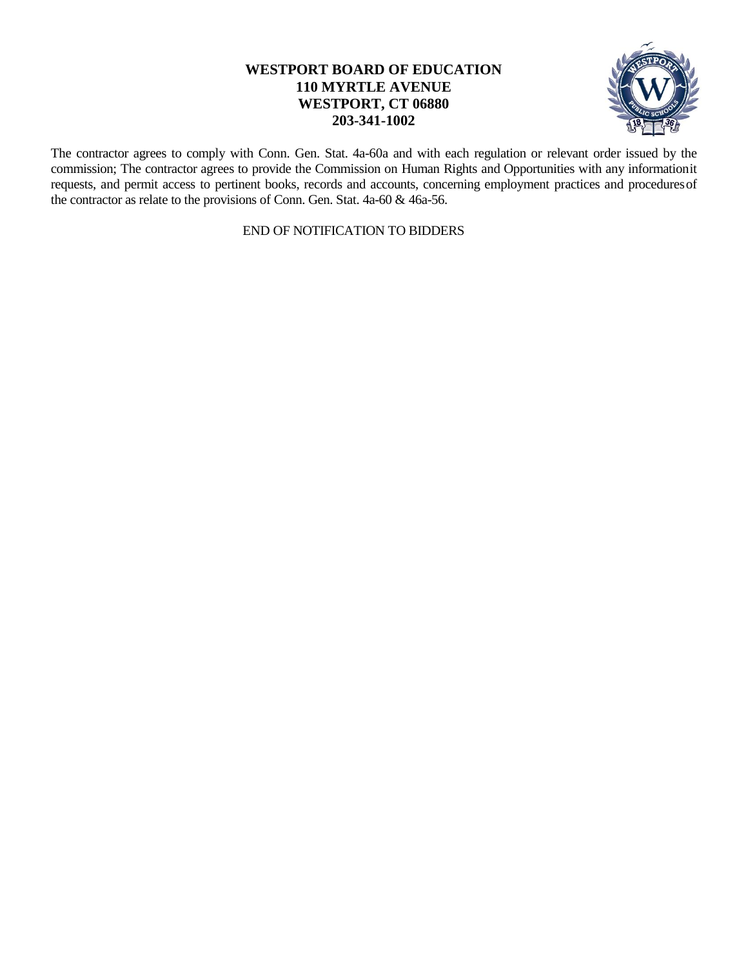

The contractor agrees to comply with Conn. Gen. Stat. 4a-60a and with each regulation or relevant order issued by the commission; The contractor agrees to provide the Commission on Human Rights and Opportunities with any informationit requests, and permit access to pertinent books, records and accounts, concerning employment practices and proceduresof the contractor as relate to the provisions of Conn. Gen. Stat. 4a-60 & 46a-56.

END OF NOTIFICATION TO BIDDERS